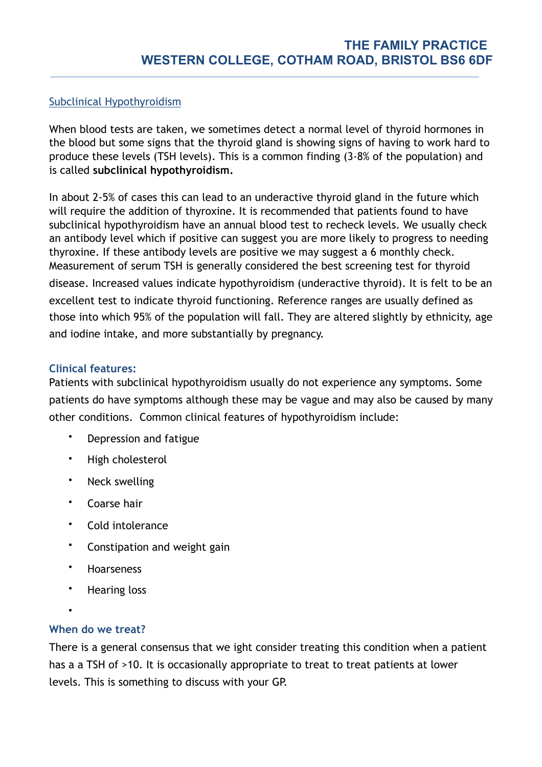## Subclinical Hypothyroidism

When blood tests are taken, we sometimes detect a normal level of thyroid hormones in the blood but some signs that the thyroid gland is showing signs of having to work hard to produce these levels (TSH levels). This is a common finding (3-8% of the population) and is called **subclinical hypothyroidism.** 

In about 2-5% of cases this can lead to an underactive thyroid gland in the future which will require the addition of thyroxine. It is recommended that patients found to have subclinical hypothyroidism have an annual blood test to recheck levels. We usually check an antibody level which if positive can suggest you are more likely to progress to needing thyroxine. If these antibody levels are positive we may suggest a 6 monthly check. Measurement of serum TSH is generally considered the best screening test for thyroid disease. Increased values indicate hypothyroidism (underactive thyroid). It is felt to be an excellent test to indicate thyroid functioning. Reference ranges are usually defined as those into which 95% of the population will fall. They are altered slightly by ethnicity, age and iodine intake, and more substantially by pregnancy.

## **Clinical features:**

Patients with subclinical hypothyroidism usually do not experience any symptoms. Some patients do have symptoms although these may be vague and may also be caused by many other conditions. Common clinical features of hypothyroidism include:

- Depression and fatigue
- High cholesterol
- Neck swelling
- Coarse hair
- Cold intolerance
- Constipation and weight gain
- Hoarseness
- Hearing loss
- •

## **When do we treat?**

There is a general consensus that we ight consider treating this condition when a patient has a a TSH of >10. It is occasionally appropriate to treat to treat patients at lower levels. This is something to discuss with your GP.